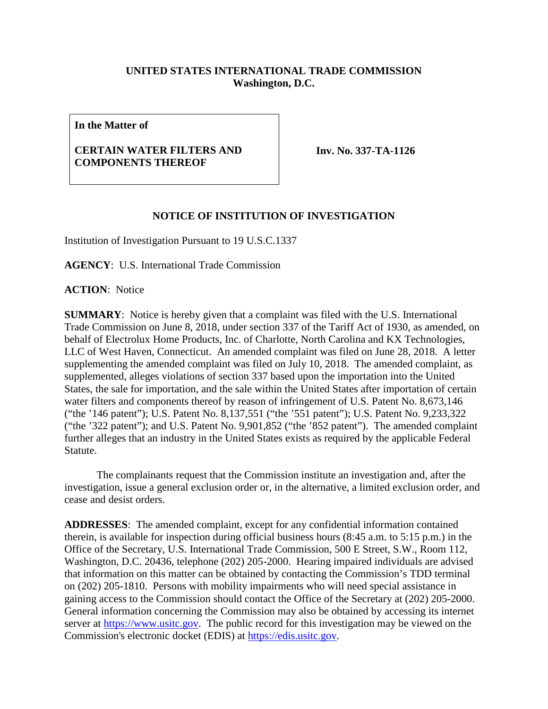## **UNITED STATES INTERNATIONAL TRADE COMMISSION Washington, D.C.**

**In the Matter of**

## **CERTAIN WATER FILTERS AND COMPONENTS THEREOF**

**Inv. No. 337-TA-1126**

## **NOTICE OF INSTITUTION OF INVESTIGATION**

Institution of Investigation Pursuant to 19 U.S.C.1337

**AGENCY**: U.S. International Trade Commission

**ACTION**: Notice

**SUMMARY**: Notice is hereby given that a complaint was filed with the U.S. International Trade Commission on June 8, 2018, under section 337 of the Tariff Act of 1930, as amended, on behalf of Electrolux Home Products, Inc. of Charlotte, North Carolina and KX Technologies, LLC of West Haven, Connecticut. An amended complaint was filed on June 28, 2018. A letter supplementing the amended complaint was filed on July 10, 2018. The amended complaint, as supplemented, alleges violations of section 337 based upon the importation into the United States, the sale for importation, and the sale within the United States after importation of certain water filters and components thereof by reason of infringement of U.S. Patent No. 8,673,146 ("the '146 patent"); U.S. Patent No. 8,137,551 ("the '551 patent"); U.S. Patent No. 9,233,322 ("the '322 patent"); and U.S. Patent No. 9,901,852 ("the '852 patent"). The amended complaint further alleges that an industry in the United States exists as required by the applicable Federal Statute.

The complainants request that the Commission institute an investigation and, after the investigation, issue a general exclusion order or, in the alternative, a limited exclusion order, and cease and desist orders.

**ADDRESSES**: The amended complaint, except for any confidential information contained therein, is available for inspection during official business hours (8:45 a.m. to 5:15 p.m.) in the Office of the Secretary, U.S. International Trade Commission, 500 E Street, S.W., Room 112, Washington, D.C. 20436, telephone (202) 205-2000. Hearing impaired individuals are advised that information on this matter can be obtained by contacting the Commission's TDD terminal on (202) 205-1810. Persons with mobility impairments who will need special assistance in gaining access to the Commission should contact the Office of the Secretary at (202) 205-2000. General information concerning the Commission may also be obtained by accessing its internet server at [https://www.usitc.gov.](https://www.usitc.gov/) The public record for this investigation may be viewed on the Commission's electronic docket (EDIS) at [https://edis.usitc.gov.](https://edis.usitc.gov/)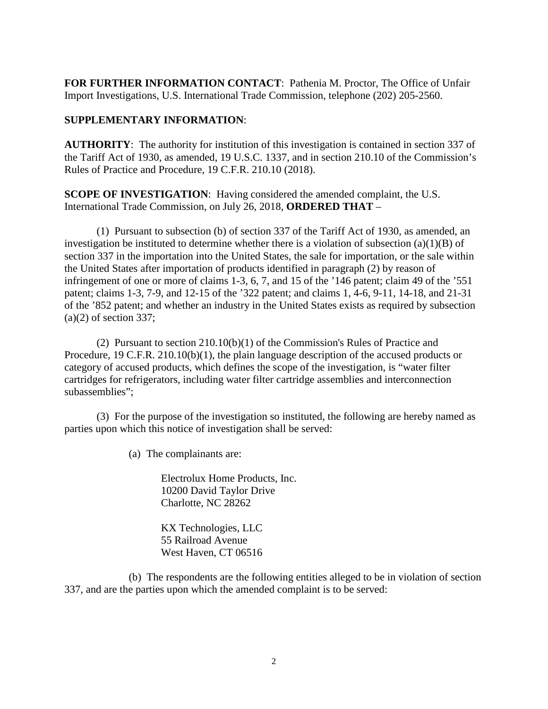**FOR FURTHER INFORMATION CONTACT**: Pathenia M. Proctor, The Office of Unfair Import Investigations, U.S. International Trade Commission, telephone (202) 205-2560.

## **SUPPLEMENTARY INFORMATION**:

**AUTHORITY**: The authority for institution of this investigation is contained in section 337 of the Tariff Act of 1930, as amended, 19 U.S.C. 1337, and in section 210.10 of the Commission's Rules of Practice and Procedure, 19 C.F.R. 210.10 (2018).

**SCOPE OF INVESTIGATION**: Having considered the amended complaint, the U.S. International Trade Commission, on July 26, 2018, **ORDERED THAT** –

(1) Pursuant to subsection (b) of section 337 of the Tariff Act of 1930, as amended, an investigation be instituted to determine whether there is a violation of subsection  $(a)(1)(B)$  of section 337 in the importation into the United States, the sale for importation, or the sale within the United States after importation of products identified in paragraph (2) by reason of infringement of one or more of claims 1-3, 6, 7, and 15 of the '146 patent; claim 49 of the '551 patent; claims 1-3, 7-9, and 12-15 of the '322 patent; and claims 1, 4-6, 9-11, 14-18, and 21-31 of the '852 patent; and whether an industry in the United States exists as required by subsection  $(a)(2)$  of section 337;

(2) Pursuant to section 210.10(b)(1) of the Commission's Rules of Practice and Procedure, 19 C.F.R. 210.10(b)(1), the plain language description of the accused products or category of accused products, which defines the scope of the investigation, is "water filter cartridges for refrigerators, including water filter cartridge assemblies and interconnection subassemblies";

(3) For the purpose of the investigation so instituted, the following are hereby named as parties upon which this notice of investigation shall be served:

(a) The complainants are:

Electrolux Home Products, Inc. 10200 David Taylor Drive Charlotte, NC 28262

KX Technologies, LLC 55 Railroad Avenue West Haven, CT 06516

(b) The respondents are the following entities alleged to be in violation of section 337, and are the parties upon which the amended complaint is to be served: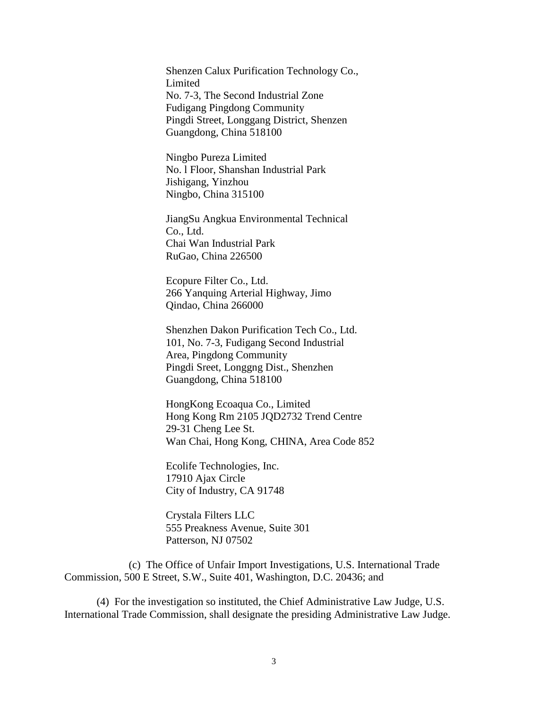Shenzen Calux Purification Technology Co., **Limited** No. 7-3, The Second Industrial Zone Fudigang Pingdong Community Pingdi Street, Longgang District, Shenzen Guangdong, China 518100

Ningbo Pureza Limited No. l Floor, Shanshan Industrial Park Jishigang, Yinzhou Ningbo, China 315100

JiangSu Angkua Environmental Technical Co., Ltd. Chai Wan Industrial Park RuGao, China 226500

Ecopure Filter Co., Ltd. 266 Yanquing Arterial Highway, Jimo Qindao, China 266000

Shenzhen Dakon Purification Tech Co., Ltd. 101, No. 7-3, Fudigang Second Industrial Area, Pingdong Community Pingdi Sreet, Longgng Dist., Shenzhen Guangdong, China 518100

HongKong Ecoaqua Co., Limited Hong Kong Rm 2105 JQD2732 Trend Centre 29-31 Cheng Lee St. Wan Chai, Hong Kong, CHINA, Area Code 852

Ecolife Technologies, Inc. 17910 Ajax Circle City of Industry, CA 91748

Crystala Filters LLC 555 Preakness Avenue, Suite 301 Patterson, NJ 07502

(c) The Office of Unfair Import Investigations, U.S. International Trade Commission, 500 E Street, S.W., Suite 401, Washington, D.C. 20436; and

(4) For the investigation so instituted, the Chief Administrative Law Judge, U.S. International Trade Commission, shall designate the presiding Administrative Law Judge.